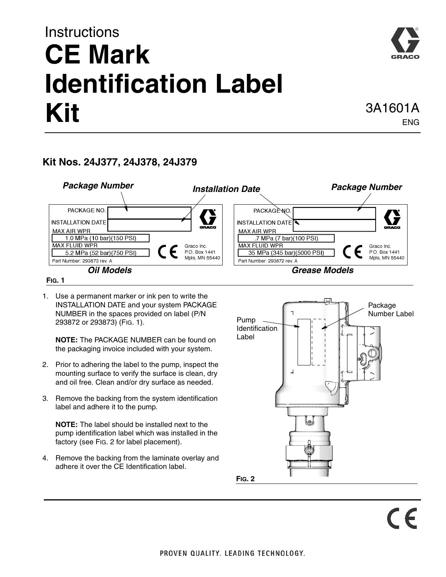## **Instructions CE Mark Identification Label Kit** 3A1601A

## **Kit Nos. 24J377, 24J378, 24J379**



1. Use a permanent marker or ink pen to write the INSTALLATION DATE and your system PACKAGE NUMBER in the spaces provided on label (P/N 293872 or 293873) (FIG. 1).

**NOTE:** The PACKAGE NUMBER can be found on the packaging invoice included with your system.

- 2. Prior to adhering the label to the pump, inspect the mounting surface to verify the surface is clean, dry and oil free. Clean and/or dry surface as needed.
- 3. Remove the backing from the system identification label and adhere it to the pump.

**NOTE:** The label should be installed next to the pump identification label which was installed in the factory (see [FIG. 2](#page-0-0) for label placement).

4. Remove the backing from the laminate overlay and adhere it over the CE Identification label.

<span id="page-0-0"></span>

ENG